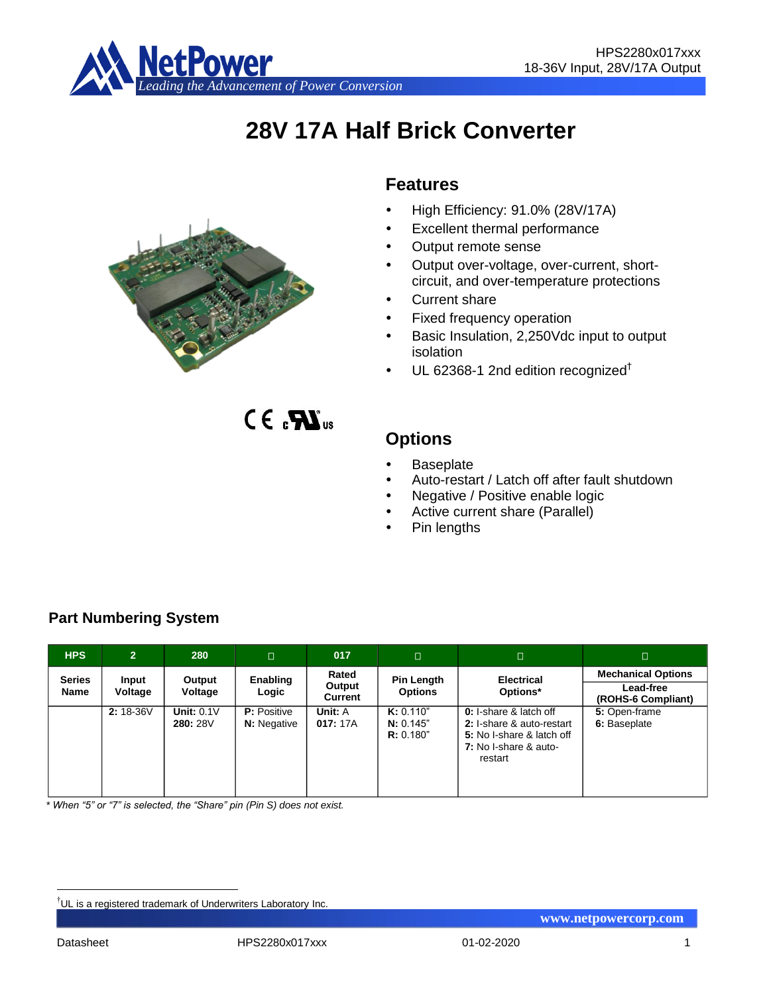

# **28V 17A Half Brick Converter**

# **Features**

- High Efficiency: 91.0% (28V/17A)
- Excellent thermal performance
- Output remote sense
- Output over-voltage, over-current, shortcircuit, and over-temperature protections
- Current share
- Fixed frequency operation
- Basic Insulation, 2,250Vdc input to output isolation
- $\cdot$  UL 62368-1 2nd edition recognized<sup>†</sup>

 $C \in \mathbf{R}$ 

# **Options**

- Baseplate
- Auto-restart / Latch off after fault shutdown
- Negative / Positive enable logic
- Active current share (Parallel)
- Pin lengths

| <b>HPS</b>            | $\overline{2}$   | 280                      | $\Box$                                   | 017                        | $\Box$                              | $\Box$                                                                                                                      | $\Box$                                                       |
|-----------------------|------------------|--------------------------|------------------------------------------|----------------------------|-------------------------------------|-----------------------------------------------------------------------------------------------------------------------------|--------------------------------------------------------------|
| <b>Series</b><br>Name | Input<br>Voltage | Output<br>Voltage        | Enabling<br>Logic                        | Rated<br>Output<br>Current | <b>Pin Length</b><br><b>Options</b> | <b>Electrical</b><br>Options*                                                                                               | <b>Mechanical Options</b><br>Lead-free<br>(ROHS-6 Compliant) |
|                       | 2: 18-36V        | Unit: $0.1V$<br>280: 28V | <b>P:</b> Positive<br><b>N:</b> Negative | Unit: A<br>017:17A         | K: 0.110"<br>N: 0.145"<br>R: 0.180" | <b>0:</b> I-share & latch off<br>2: I-share & auto-restart<br>5: No I-share & latch off<br>7: No I-share & auto-<br>restart | 5: Open-frame<br>6: Baseplate                                |

**Part Numbering System**

*\* When "5" or "7" is selected, the "Share" pin (Pin S) does not exist.*

<u>.</u>



<sup>†</sup>UL is a registered trademark of Underwriters Laboratory Inc.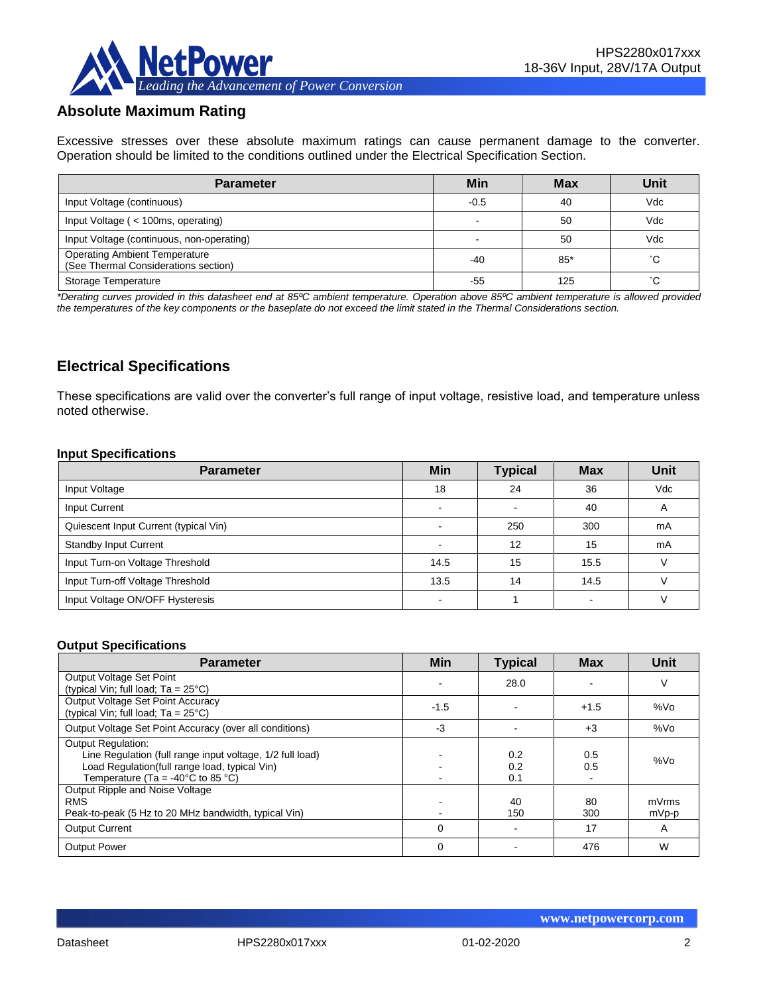

# **Absolute Maximum Rating**

Excessive stresses over these absolute maximum ratings can cause permanent damage to the converter. Operation should be limited to the conditions outlined under the Electrical Specification Section.

| <b>Parameter</b>                                                             | Min    | <b>Max</b> | Unit |
|------------------------------------------------------------------------------|--------|------------|------|
| Input Voltage (continuous)                                                   | $-0.5$ | 40         | Vdc  |
| Input Voltage (< 100ms, operating)                                           |        | 50         | Vdc  |
| Input Voltage (continuous, non-operating)                                    |        | 50         | Vdc  |
| <b>Operating Ambient Temperature</b><br>(See Thermal Considerations section) | $-40$  | $85*$      | °С   |
| Storage Temperature                                                          | -55    | 125        | °С   |

*\*Derating curves provided in this datasheet end at 85ºC ambient temperature. Operation above 85ºC ambient temperature is allowed provided the temperatures of the key components or the baseplate do not exceed the limit stated in the Thermal Considerations section.*

# **Electrical Specifications**

These specifications are valid over the converter's full range of input voltage, resistive load, and temperature unless noted otherwise.

#### **Input Specifications**

| <b>Parameter</b>                      | <b>Min</b>               | <b>Typical</b> | <b>Max</b> | Unit |
|---------------------------------------|--------------------------|----------------|------------|------|
| Input Voltage                         | 18                       | 24             | 36         | Vdc  |
| Input Current                         | -                        |                | 40         | A    |
| Quiescent Input Current (typical Vin) |                          | 250            | 300        | mA   |
| <b>Standby Input Current</b>          |                          | 12             | 15         | mA   |
| Input Turn-on Voltage Threshold       | 14.5                     | 15             | 15.5       |      |
| Input Turn-off Voltage Threshold      | 13.5                     | 14             | 14.5       |      |
| Input Voltage ON/OFF Hysteresis       | $\overline{\phantom{a}}$ |                |            |      |

#### **Output Specifications**

| <b>Parameter</b>                                                                                                                                                                                  | Min      | <b>Typical</b>    | <b>Max</b> | Unit           |
|---------------------------------------------------------------------------------------------------------------------------------------------------------------------------------------------------|----------|-------------------|------------|----------------|
| Output Voltage Set Point                                                                                                                                                                          |          | 28.0              |            | ν              |
| (typical Vin; full load; $Ta = 25^{\circ}C$ )<br>Output Voltage Set Point Accuracy<br>(typical Vin; full load; $Ta = 25^{\circ}C$ )                                                               | $-1.5$   |                   | $+1.5$     | %Vo            |
| Output Voltage Set Point Accuracy (over all conditions)                                                                                                                                           | -3       |                   | $+3$       | %Vo            |
| <b>Output Regulation:</b><br>Line Regulation (full range input voltage, 1/2 full load)<br>Load Regulation(full range load, typical Vin)<br>Temperature (Ta = -40 $^{\circ}$ C to 85 $^{\circ}$ C) |          | 0.2<br>0.2<br>0.1 | 0.5<br>0.5 | %Vo            |
| Output Ripple and Noise Voltage<br><b>RMS</b><br>Peak-to-peak (5 Hz to 20 MHz bandwidth, typical Vin)                                                                                             |          | 40<br>150         | 80<br>300  | mVrms<br>mVp-p |
| <b>Output Current</b>                                                                                                                                                                             | $\Omega$ |                   | 17         | A              |
| <b>Output Power</b>                                                                                                                                                                               | 0        |                   | 476        | W              |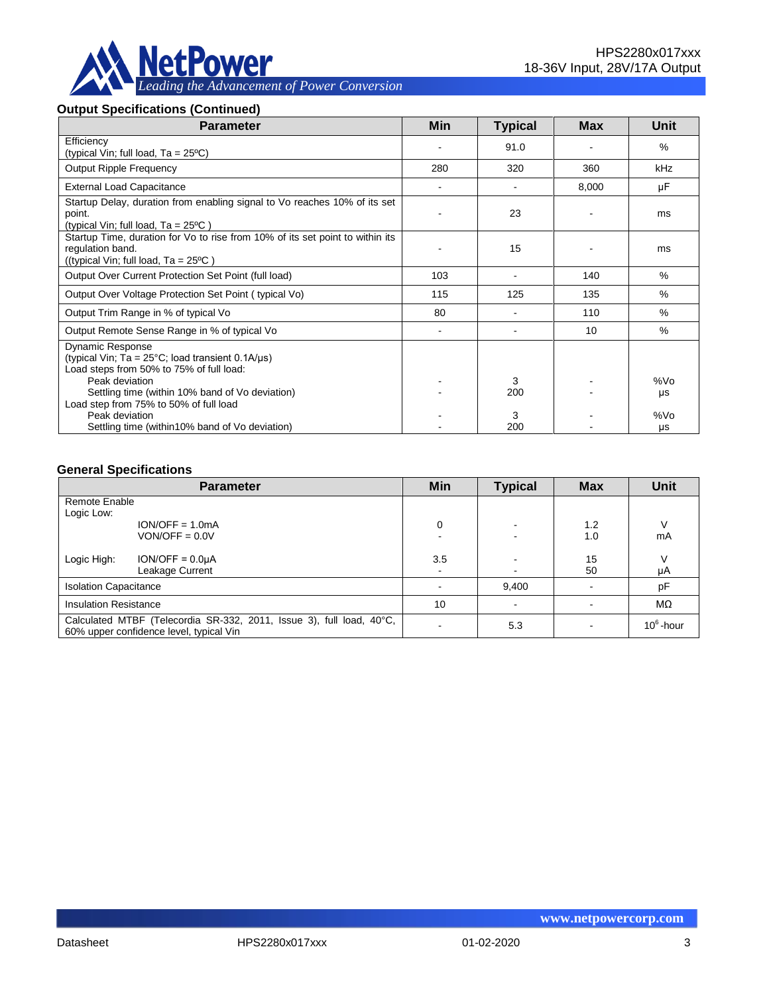

# **Output Specifications (Continued)**

| <b>Parameter</b>                                                                                                                                    | <b>Min</b>     | <b>Typical</b> | Max   | Unit      |
|-----------------------------------------------------------------------------------------------------------------------------------------------------|----------------|----------------|-------|-----------|
| Efficiency<br>(typical Vin; full load, $Ta = 25^{\circ}C$ )                                                                                         |                | 91.0           |       | $\%$      |
| <b>Output Ripple Frequency</b>                                                                                                                      | 280            | 320            | 360   | kHz       |
| <b>External Load Capacitance</b>                                                                                                                    |                |                | 8,000 | μF        |
| Startup Delay, duration from enabling signal to Vo reaches 10% of its set<br>point.<br>(typical Vin; full load, $Ta = 25^{\circ}C$ )                |                | 23             |       | ms        |
| Startup Time, duration for Vo to rise from 10% of its set point to within its<br>regulation band.<br>((typical Vin; full load, $Ta = 25^{\circ}C$ ) |                | 15             |       | ms        |
| Output Over Current Protection Set Point (full load)                                                                                                | 103            |                | 140   | $\%$      |
| Output Over Voltage Protection Set Point (typical Vo)                                                                                               | 115            | 125            | 135   | $\%$      |
| Output Trim Range in % of typical Vo                                                                                                                | 80             |                | 110   | $\%$      |
| Output Remote Sense Range in % of typical Vo                                                                                                        | $\blacksquare$ |                | 10    | $\%$      |
| Dynamic Response<br>(typical Vin; $Ta = 25^{\circ}C$ ; load transient 0.1A/ $\mu s$ )<br>Load steps from 50% to 75% of full load:                   |                |                |       |           |
| Peak deviation<br>Settling time (within 10% band of Vo deviation)<br>Load step from 75% to 50% of full load                                         |                | 3<br>200       |       | %Vo<br>μs |
| Peak deviation<br>Settling time (within 10% band of Vo deviation)                                                                                   |                | 3<br>200       |       | %Vo<br>μs |

#### **General Specifications**

|                                                                                                                 | <b>Parameter</b>  | Min    | <b>Typical</b> | <b>Max</b> | <b>Unit</b>  |
|-----------------------------------------------------------------------------------------------------------------|-------------------|--------|----------------|------------|--------------|
| Remote Enable                                                                                                   |                   |        |                |            |              |
| Logic Low:                                                                                                      |                   |        |                |            |              |
|                                                                                                                 | $ION/OFF = 1.0mA$ | 0      | -              | 1.2        | ν            |
|                                                                                                                 | $VON/OFF = 0.0V$  |        |                | 1.0        | mA           |
| Logic High:                                                                                                     | $ION/OFF = 0.0µA$ | 3.5    |                | 15         | V            |
|                                                                                                                 | Leakage Current   | $\sim$ |                | 50         | μA           |
| <b>Isolation Capacitance</b>                                                                                    |                   |        | 9,400          |            | pF           |
| <b>Insulation Resistance</b>                                                                                    |                   | 10     |                |            | MΩ           |
| Calculated MTBF (Telecordia SR-332, 2011, Issue 3), full load, 40°C,<br>60% upper confidence level, typical Vin |                   |        | 5.3            |            | $10^6$ -hour |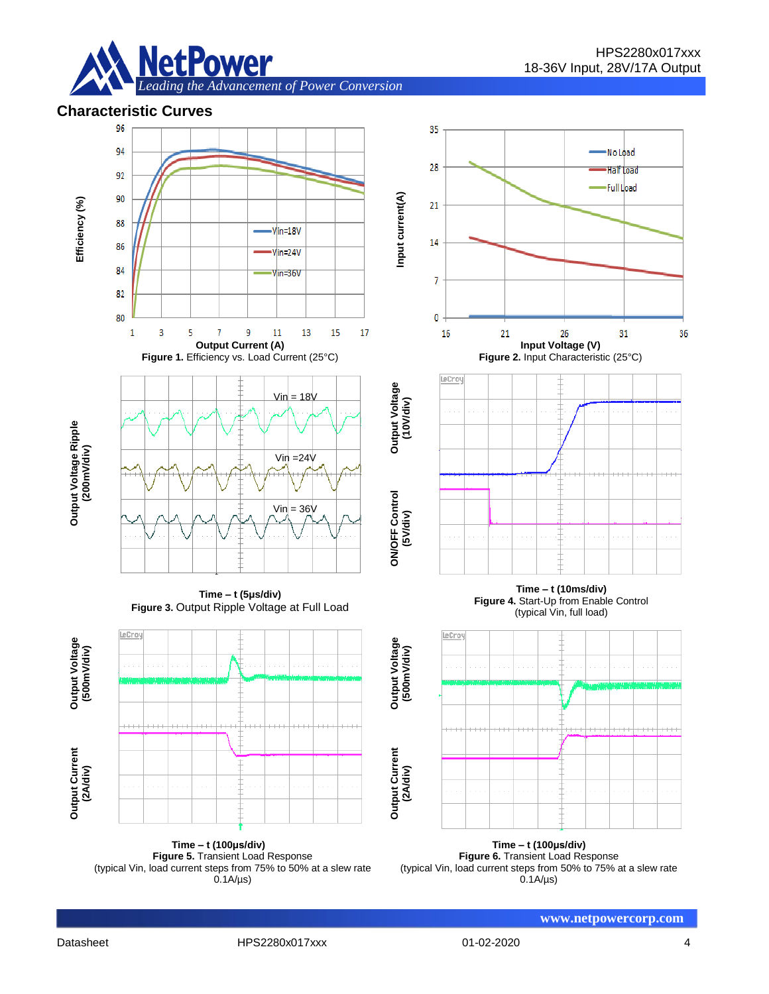

### **Characteristic Curves**



**Time – t (100μs/div) Figure 5.** Transient Load Response (typical Vin, load current steps from 75% to 50% at a slew rate  $0.1A/\mu s$ 

**Time – t (100μs/div) Figure 6.** Transient Load Response (typical Vin, load current steps from 50% to 75% at a slew rate  $0.1A/\mu s$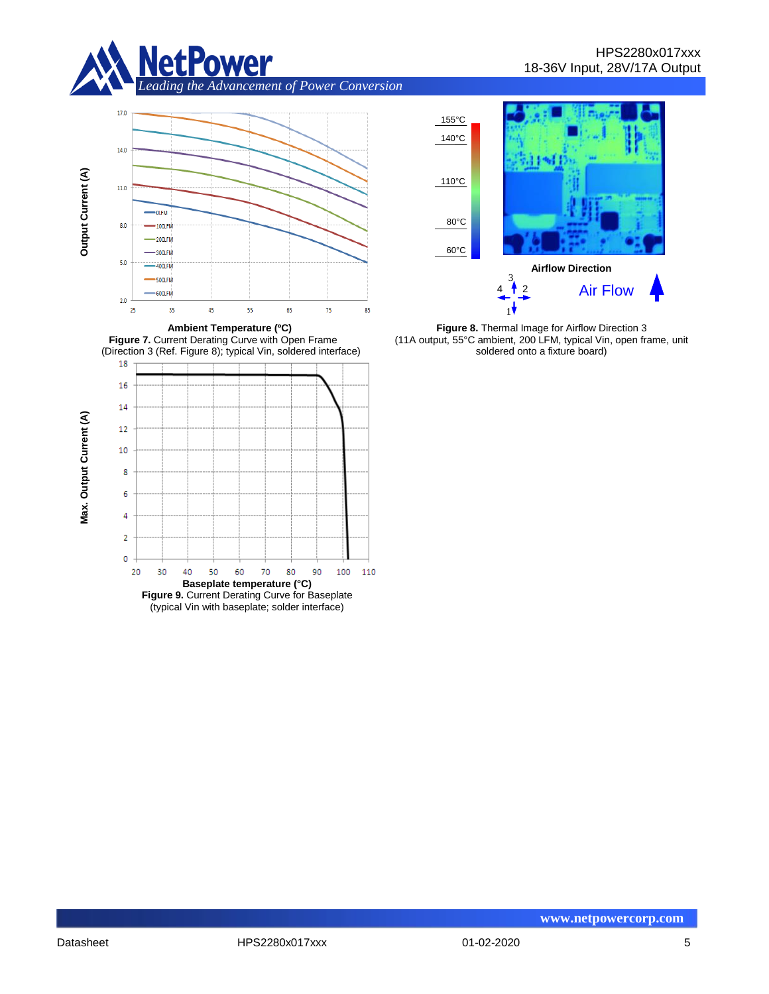









**Figure 8.** Thermal Image for Airflow Direction 3 (11A output, 55°C ambient, 200 LFM, typical Vin, open frame, unit soldered onto a fixture board)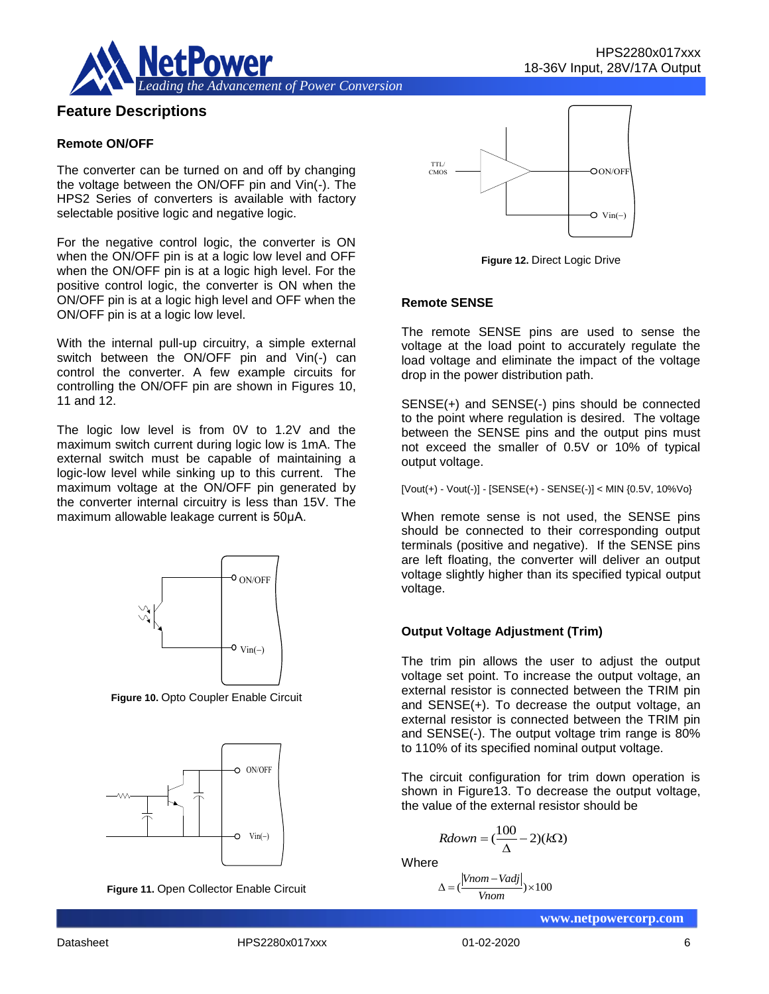

# **Feature Descriptions**

#### **Remote ON/OFF**

The converter can be turned on and off by changing the voltage between the ON/OFF pin and Vin(-). The HPS2 Series of converters is available with factory selectable positive logic and negative logic.

For the negative control logic, the converter is ON when the ON/OFF pin is at a logic low level and OFF when the ON/OFF pin is at a logic high level. For the positive control logic, the converter is ON when the ON/OFF pin is at a logic high level and OFF when the ON/OFF pin is at a logic low level.

With the internal pull-up circuitry, a simple external switch between the ON/OFF pin and Vin(-) can control the converter. A few example circuits for controlling the ON/OFF pin are shown in Figures 10, 11 and 12.

The logic low level is from 0V to 1.2V and the maximum switch current during logic low is 1mA. The external switch must be capable of maintaining a logic-low level while sinking up to this current. The maximum voltage at the ON/OFF pin generated by the converter internal circuitry is less than 15V. The maximum allowable leakage current is 50μA.



**Figure 10.** Opto Coupler Enable Circuit







**Figure 12.** Direct Logic Drive

#### **Remote SENSE**

The remote SENSE pins are used to sense the voltage at the load point to accurately regulate the load voltage and eliminate the impact of the voltage drop in the power distribution path.

SENSE(+) and SENSE(-) pins should be connected to the point where regulation is desired. The voltage between the SENSE pins and the output pins must not exceed the smaller of 0.5V or 10% of typical output voltage.

[Vout(+) - Vout(-)] - [SENSE(+) - SENSE(-)] < MIN {0.5V, 10%Vo}

When remote sense is not used, the SENSE pins should be connected to their corresponding output terminals (positive and negative). If the SENSE pins are left floating, the converter will deliver an output voltage slightly higher than its specified typical output voltage.

#### **Output Voltage Adjustment (Trim)**

The trim pin allows the user to adjust the output voltage set point. To increase the output voltage, an external resistor is connected between the TRIM pin and SENSE(+). To decrease the output voltage, an external resistor is connected between the TRIM pin and SENSE(-). The output voltage trim range is 80% to 110% of its specified nominal output voltage.  $V_{\text{in}}(-)$ <br>
Vin(-)<br>
Vin(-)<br>
Vin(-)<br>
Vin(-)<br> **Output Voltage Adju**<br>
The trim pin allows<br>
voltage set point. To<br>
external resistor is compared to and SENSE(+). To consider the stermal resistor is compared to 110% of its sp

The circuit configuration for trim down operation is shown in Figure13. To decrease the output voltage, the value of the external resistor should be

$$
Rdown = (\frac{100}{\Delta} - 2)(k\Omega)
$$

**Where** 

$$
\Delta = \left(\frac{|Vnom - Vadj|}{Vnom}\right) \times 100
$$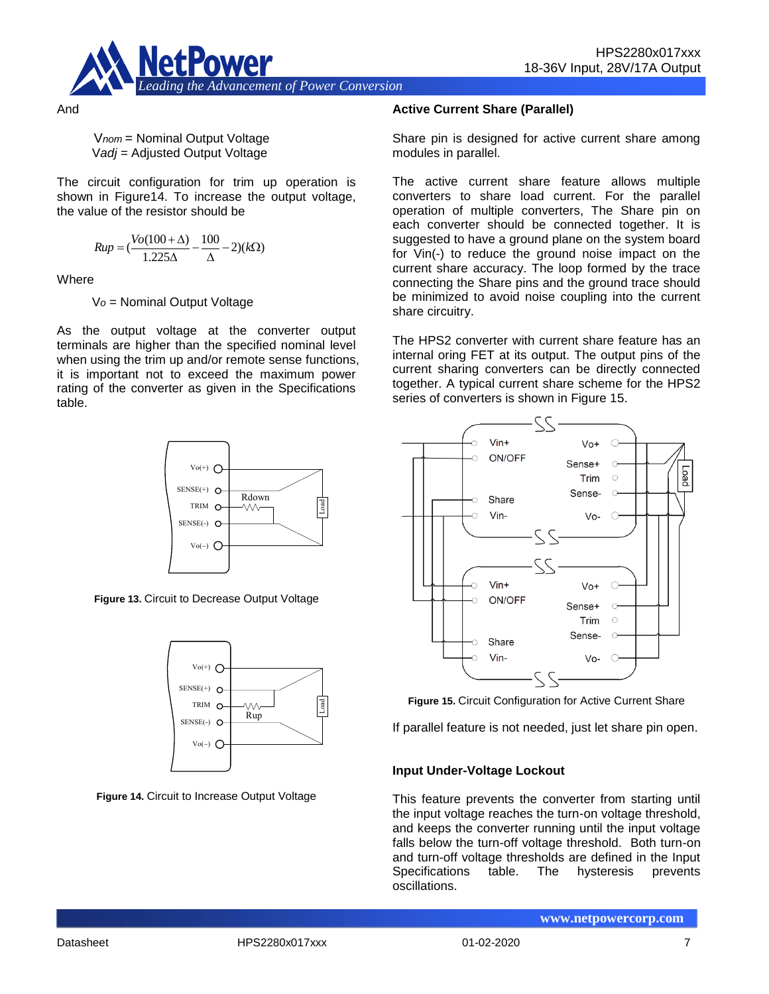

And

V*nom* = Nominal Output Voltage V*adj* = Adjusted Output Voltage

The circuit configuration for trim up operation is shown in Figure14. To increase the output voltage, the value of the resistor should be

$$
Rup = (\frac{Vo(100 + \Delta)}{1.225\Delta} - \frac{100}{\Delta} - 2)(k\Omega)
$$

**Where** 

V*o* = Nominal Output Voltage

As the output voltage at the converter output terminals are higher than the specified nominal level when using the trim up and/or remote sense functions, it is important not to exceed the maximum power rating of the converter as given in the Specifications table.



**Figure 13.** Circuit to Decrease Output Voltage



**Figure 14.** Circuit to Increase Output Voltage

#### **Active Current Share (Parallel)**

Share pin is designed for active current share among modules in parallel.

The active current share feature allows multiple converters to share load current. For the parallel operation of multiple converters, The Share pin on each converter should be connected together. It is suggested to have a ground plane on the system board for Vin(-) to reduce the ground noise impact on the current share accuracy. The loop formed by the trace connecting the Share pins and the ground trace should be minimized to avoid noise coupling into the current share circuitry.

The HPS2 converter with current share feature has an internal oring FET at its output. The output pins of the current sharing converters can be directly connected together. A typical current share scheme for the HPS2 series of converters is shown in Figure 15.



**Figure 15.** Circuit Configuration for Active Current Share

If parallel feature is not needed, just let share pin open.

# **Input Under-Voltage Lockout**

This feature prevents the converter from starting until the input voltage reaches the turn-on voltage threshold, and keeps the converter running until the input voltage falls below the turn-off voltage threshold. Both turn-on and turn-off voltage thresholds are defined in the Input Specifications table. The hysteresis prevents oscillations.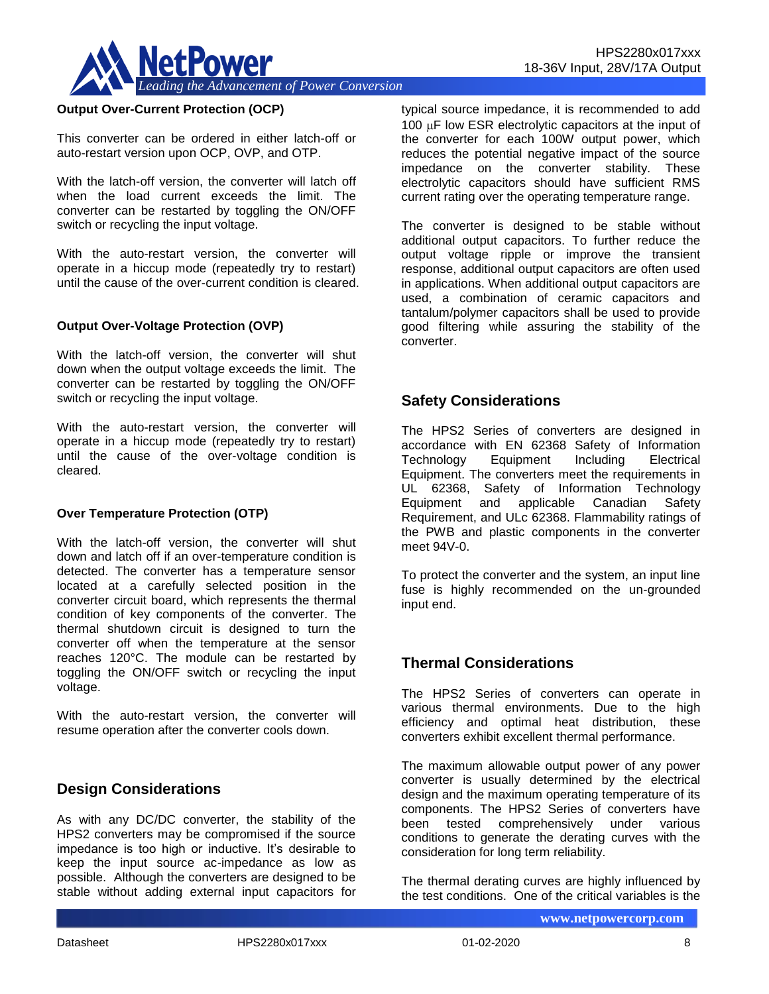

#### **Output Over-Current Protection (OCP)**

This converter can be ordered in either latch-off or auto-restart version upon OCP, OVP, and OTP.

With the latch-off version, the converter will latch off when the load current exceeds the limit. The converter can be restarted by toggling the ON/OFF switch or recycling the input voltage.

With the auto-restart version, the converter will operate in a hiccup mode (repeatedly try to restart) until the cause of the over-current condition is cleared.

#### **Output Over-Voltage Protection (OVP)**

With the latch-off version, the converter will shut down when the output voltage exceeds the limit. The converter can be restarted by toggling the ON/OFF switch or recycling the input voltage.

With the auto-restart version, the converter will operate in a hiccup mode (repeatedly try to restart) until the cause of the over-voltage condition is cleared.

#### **Over Temperature Protection (OTP)**

With the latch-off version, the converter will shut down and latch off if an over-temperature condition is detected. The converter has a temperature sensor located at a carefully selected position in the converter circuit board, which represents the thermal condition of key components of the converter. The thermal shutdown circuit is designed to turn the converter off when the temperature at the sensor reaches 120°C. The module can be restarted by toggling the ON/OFF switch or recycling the input voltage.

With the auto-restart version, the converter will resume operation after the converter cools down.

# **Design Considerations**

As with any DC/DC converter, the stability of the HPS2 converters may be compromised if the source impedance is too high or inductive. It's desirable to keep the input source ac-impedance as low as possible. Although the converters are designed to be stable without adding external input capacitors for typical source impedance, it is recommended to add  $100 \mu$ F low ESR electrolytic capacitors at the input of the converter for each 100W output power, which reduces the potential negative impact of the source impedance on the converter stability. These electrolytic capacitors should have sufficient RMS current rating over the operating temperature range.

The converter is designed to be stable without additional output capacitors. To further reduce the output voltage ripple or improve the transient response, additional output capacitors are often used in applications. When additional output capacitors are used, a combination of ceramic capacitors and tantalum/polymer capacitors shall be used to provide good filtering while assuring the stability of the converter.

# **Safety Considerations**

The HPS2 Series of converters are designed in accordance with EN 62368 Safety of Information Technology Equipment Including Electrical Equipment. The converters meet the requirements in UL 62368, Safety of Information Technology Equipment and applicable Canadian Safety Requirement, and ULc 62368. Flammability ratings of the PWB and plastic components in the converter meet 94V-0.

To protect the converter and the system, an input line fuse is highly recommended on the un-grounded input end.

# **Thermal Considerations**

The HPS2 Series of converters can operate in various thermal environments. Due to the high efficiency and optimal heat distribution, these converters exhibit excellent thermal performance.

The maximum allowable output power of any power converter is usually determined by the electrical design and the maximum operating temperature of its components. The HPS2 Series of converters have been tested comprehensively under various conditions to generate the derating curves with the consideration for long term reliability.

The thermal derating curves are highly influenced by the test conditions. One of the critical variables is the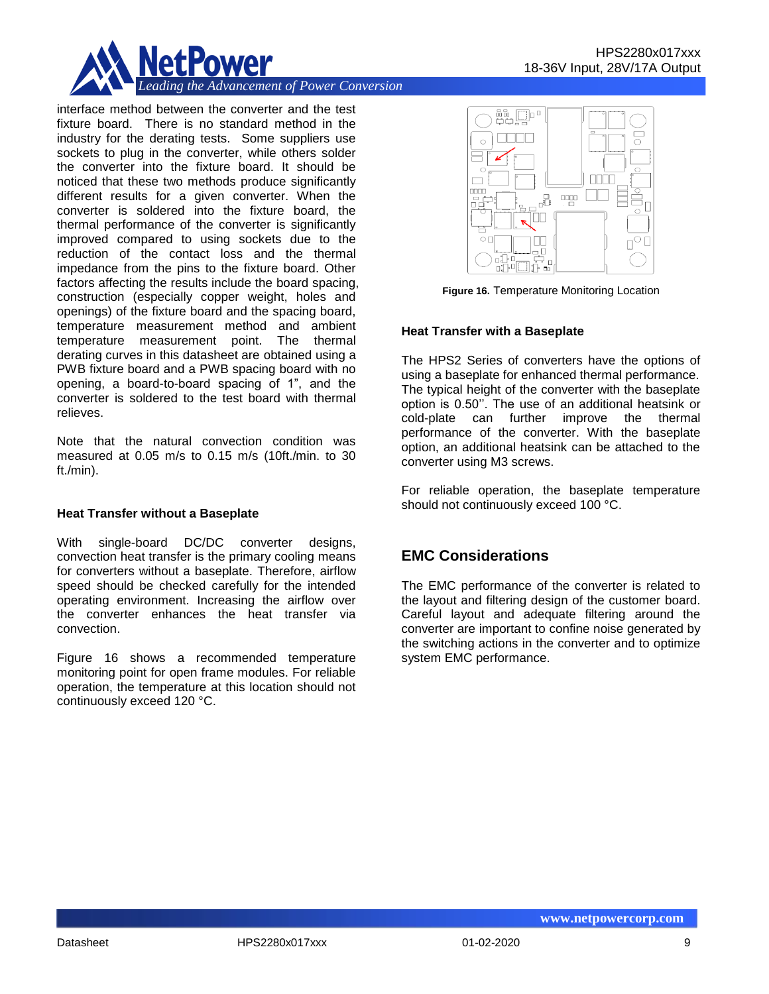

interface method between the converter and the test fixture board. There is no standard method in the industry for the derating tests. Some suppliers use sockets to plug in the converter, while others solder the converter into the fixture board. It should be noticed that these two methods produce significantly different results for a given converter. When the converter is soldered into the fixture board, the thermal performance of the converter is significantly improved compared to using sockets due to the reduction of the contact loss and the thermal impedance from the pins to the fixture board. Other factors affecting the results include the board spacing, construction (especially copper weight, holes and openings) of the fixture board and the spacing board, temperature measurement method and ambient temperature measurement point. The thermal derating curves in this datasheet are obtained using a PWB fixture board and a PWB spacing board with no opening, a board-to-board spacing of 1", and the converter is soldered to the test board with thermal relieves.

Note that the natural convection condition was measured at 0.05 m/s to 0.15 m/s (10ft./min. to 30 ft./min).

#### **Heat Transfer without a Baseplate**

With single-board DC/DC converter designs, convection heat transfer is the primary cooling means for converters without a baseplate. Therefore, airflow speed should be checked carefully for the intended operating environment. Increasing the airflow over the converter enhances the heat transfer via convection.

Figure 16 shows a recommended temperature monitoring point for open frame modules. For reliable operation, the temperature at this location should not continuously exceed 120 °C.



**Figure 16.** Temperature Monitoring Location

#### **Heat Transfer with a Baseplate**

The HPS2 Series of converters have the options of using a baseplate for enhanced thermal performance. The typical height of the converter with the baseplate option is 0.50''. The use of an additional heatsink or cold-plate can further improve the thermal performance of the converter. With the baseplate option, an additional heatsink can be attached to the converter using M3 screws.

For reliable operation, the baseplate temperature should not continuously exceed 100 °C.

# **EMC Considerations**

The EMC performance of the converter is related to the layout and filtering design of the customer board. Careful layout and adequate filtering around the converter are important to confine noise generated by the switching actions in the converter and to optimize system EMC performance.